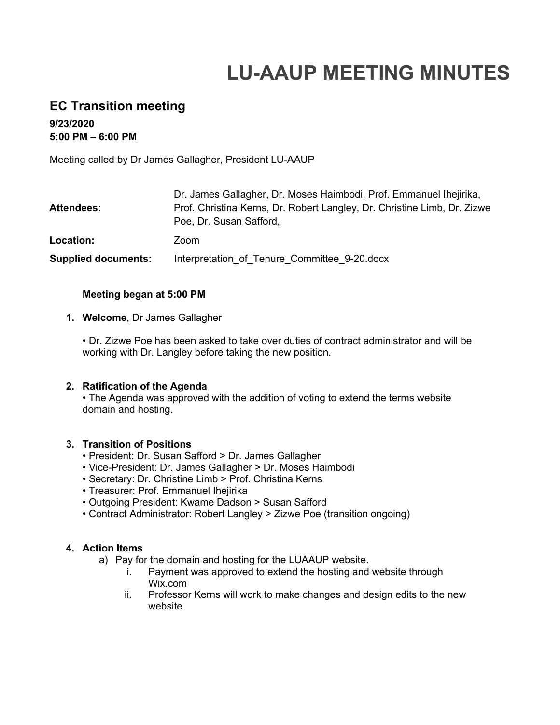# **LU-AAUP MEETING MINUTES**

# **EC Transition meeting**

**9/23/2020 5:00 PM – 6:00 PM**

Meeting called by Dr James Gallagher, President LU-AAUP

| <b>Attendees:</b>          | Dr. James Gallagher, Dr. Moses Haimbodi, Prof. Emmanuel Ihejirika,<br>Prof. Christina Kerns, Dr. Robert Langley, Dr. Christine Limb, Dr. Zizwe<br>Poe, Dr. Susan Safford, |
|----------------------------|---------------------------------------------------------------------------------------------------------------------------------------------------------------------------|
| Location:                  | Zoom                                                                                                                                                                      |
| <b>Supplied documents:</b> | Interpretation of Tenure Committee 9-20 docx                                                                                                                              |

#### **Meeting began at 5:00 PM**

#### **1. Welcome**, Dr James Gallagher

• Dr. Zizwe Poe has been asked to take over duties of contract administrator and will be working with Dr. Langley before taking the new position.

#### **2. Ratification of the Agenda**

• The Agenda was approved with the addition of voting to extend the terms website domain and hosting.

#### **3. Transition of Positions**

- President: Dr. Susan Safford > Dr. James Gallagher
- Vice-President: Dr. James Gallagher > Dr. Moses Haimbodi
- Secretary: Dr. Christine Limb > Prof. Christina Kerns
- Treasurer: Prof. Emmanuel Ihejirika
- Outgoing President: Kwame Dadson > Susan Safford
- Contract Administrator: Robert Langley > Zizwe Poe (transition ongoing)

#### **4. Action Items**

- a) Pay for the domain and hosting for the LUAAUP website.
	- i. Payment was approved to extend the hosting and website through Wix.com
	- ii. Professor Kerns will work to make changes and design edits to the new website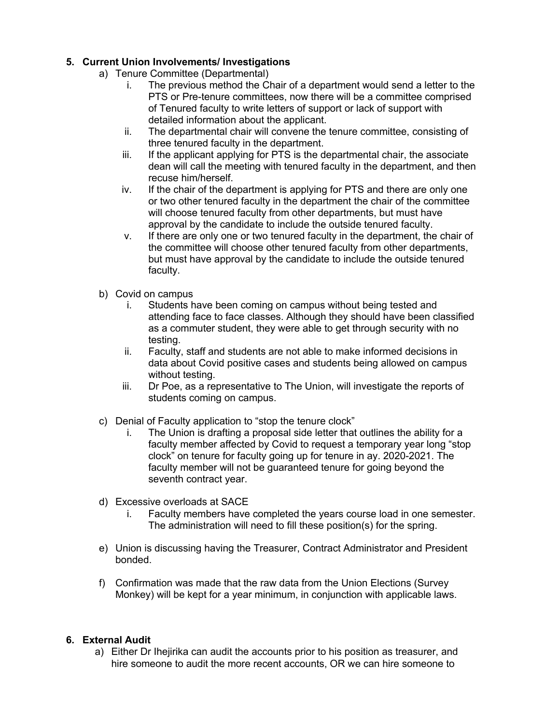# **5. Current Union Involvements/ Investigations**

- a) Tenure Committee (Departmental)
	- i. The previous method the Chair of a department would send a letter to the PTS or Pre-tenure committees, now there will be a committee comprised of Tenured faculty to write letters of support or lack of support with detailed information about the applicant.
	- ii. The departmental chair will convene the tenure committee, consisting of three tenured faculty in the department.
	- iii. If the applicant applying for PTS is the departmental chair, the associate dean will call the meeting with tenured faculty in the department, and then recuse him/herself.
	- iv. If the chair of the department is applying for PTS and there are only one or two other tenured faculty in the department the chair of the committee will choose tenured faculty from other departments, but must have approval by the candidate to include the outside tenured faculty.
	- v. If there are only one or two tenured faculty in the department, the chair of the committee will choose other tenured faculty from other departments, but must have approval by the candidate to include the outside tenured faculty.
- b) Covid on campus
	- i. Students have been coming on campus without being tested and attending face to face classes. Although they should have been classified as a commuter student, they were able to get through security with no testing.
	- ii. Faculty, staff and students are not able to make informed decisions in data about Covid positive cases and students being allowed on campus without testing.
	- iii. Dr Poe, as a representative to The Union, will investigate the reports of students coming on campus.
- c) Denial of Faculty application to "stop the tenure clock"
	- The Union is drafting a proposal side letter that outlines the ability for a faculty member affected by Covid to request a temporary year long "stop clock" on tenure for faculty going up for tenure in ay. 2020-2021. The faculty member will not be guaranteed tenure for going beyond the seventh contract year.
- d) Excessive overloads at SACE
	- i. Faculty members have completed the years course load in one semester. The administration will need to fill these position(s) for the spring.
- e) Union is discussing having the Treasurer, Contract Administrator and President bonded.
- f) Confirmation was made that the raw data from the Union Elections (Survey Monkey) will be kept for a year minimum, in conjunction with applicable laws.

## **6. External Audit**

a) Either Dr Ihejirika can audit the accounts prior to his position as treasurer, and hire someone to audit the more recent accounts, OR we can hire someone to